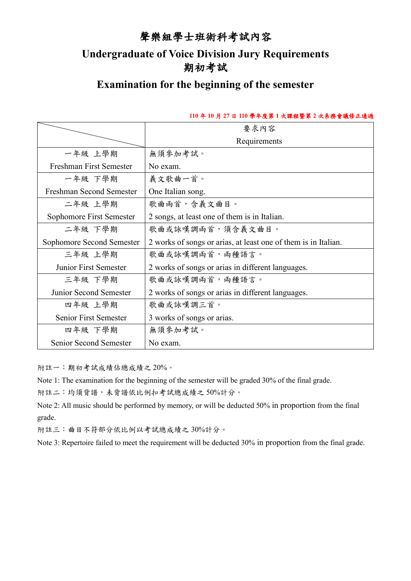### 聲樂組學士班術科考試內容

## **Undergraduate of Voice Division Jury Requirements** 期初考試

# **Examination for the beginning of the semester**

#### **110** 年 **10** 月 **27** 日 **110** 學年度第 **1** 次課程暨第 **2** 次系務會議修正通過

|                              | 要求內容                                                           |
|------------------------------|----------------------------------------------------------------|
|                              | Requirements                                                   |
| 一年級 上學期                      | 無須參加考試。                                                        |
| Freshman First Semester      | No exam.                                                       |
| 一年級 下學期                      | 義文歌曲一首。                                                        |
| Freshman Second Semester     | One Italian song.                                              |
| 二年級 上學期                      | 歌曲兩首,含義文曲目。                                                    |
| Sophomore First Semester     | 2 songs, at least one of them is in Italian.                   |
| 二年級 下學期                      | 歌曲或詠嘆調兩首,須含義文曲目。                                               |
| Sophomore Second Semester    | 2 works of songs or arias, at least one of them is in Italian. |
| 三年級 上學期                      | 歌曲或詠嘆調兩首,兩種語言。                                                 |
| <b>Junior First Semester</b> | 2 works of songs or arias in different languages.              |
| 三年級 下學期                      | 歌曲或詠嘆調兩首,兩種語言。                                                 |
| Junior Second Semester       | 2 works of songs or arias in different languages.              |
| 四年級 上學期                      | 歌曲或詠嘆調三首。                                                      |
| <b>Senior First Semester</b> | 3 works of songs or arias.                                     |
| 四年級 下學期                      | 無須參加考試。                                                        |
| Senior Second Semester       | No exam.                                                       |

附註一:期初考試成績佔總成績之 20%。

Note 1: The examination for the beginning of the semester will be graded 30% of the final grade.

附註二:均須背譜,未背譜依比例扣考試總成績之 50%計分。

Note 2: All music should be performed by memory, or will be deducted 50% in proportion from the final grade.

附註三:曲目不符部分依比例以考試總成績之 30%計分。

Note 3: Repertoire failed to meet the requirement will be deducted 30% in proportion from the final grade.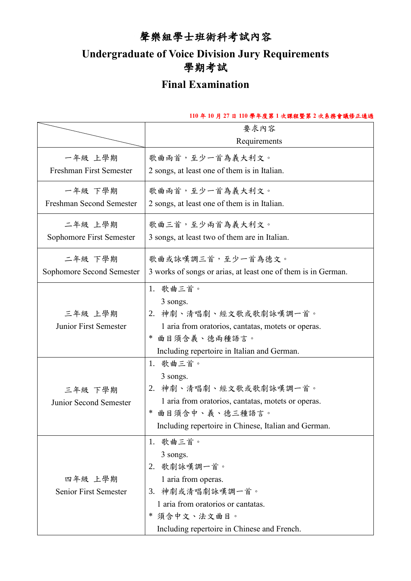# 聲樂組學士班術科考試內容

# **Undergraduate of Voice Division Jury Requirements** 學期考試

# **Final Examination**

#### **110** 年 **10** 月 **27** 日 **110** 學年度第 **1** 次課程暨第 **2** 次系務會議修正通過

|                              | 要求內容<br>Requirements                                          |
|------------------------------|---------------------------------------------------------------|
|                              |                                                               |
| 一年級 上學期                      | 歌曲兩首,至少一首為義大利文。                                               |
| Freshman First Semester      | 2 songs, at least one of them is in Italian.                  |
|                              |                                                               |
| 一年級 下學期                      | 歌曲兩首,至少一首為義大利文。                                               |
| Freshman Second Semester     | 2 songs, at least one of them is in Italian.                  |
| 二年級 上學期                      | 歌曲三首,至少兩首為義大利文。                                               |
| Sophomore First Semester     | 3 songs, at least two of them are in Italian.                 |
|                              |                                                               |
| 二年級 下學期                      | 歌曲或詠嘆調三首,至少一首為德文。                                             |
| Sophomore Second Semester    | 3 works of songs or arias, at least one of them is in German. |
|                              | 1. 歌曲三首。                                                      |
|                              | 3 songs.                                                      |
| 三年級 上學期                      | 2. 神劇、清唱劇、經文歌或歌劇詠嘆調一首。                                        |
| <b>Junior First Semester</b> | 1 aria from oratorios, cantatas, motets or operas.            |
|                              | 曲目須含義、德兩種語言。<br>∗                                             |
|                              | Including repertoire in Italian and German.                   |
|                              | 1. 歌曲三首。                                                      |
|                              | 3 songs.                                                      |
| 三年級 下學期                      | 2. 神劇、清唱劇、經文歌或歌劇詠嘆調一首。                                        |
| Junior Second Semester       | 1 aria from oratorios, cantatas, motets or operas.            |
|                              | * 曲目須含中、義、德三種語言。                                              |
|                              | Including repertoire in Chinese, Italian and German.          |
|                              | 1. 歌曲三首。                                                      |
|                              | 3 songs.                                                      |
|                              | 2. 歌劇詠嘆調一首。                                                   |
|                              |                                                               |
| 四年級 上學期                      | 1 aria from operas.                                           |
| <b>Senior First Semester</b> | 3. 神劇或清唱劇詠嘆調一首。                                               |
|                              | 1 aria from oratorios or cantatas.                            |
|                              | 須含中文、法文曲目。                                                    |
|                              | Including repertoire in Chinese and French.                   |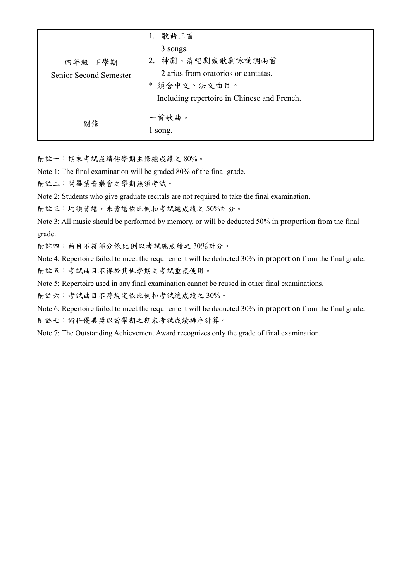| 四年級 下學期<br><b>Senior Second Semester</b> | 1. 歌曲三首<br>3 songs.<br>2. 神劇、清唱劇或歌劇詠嘆調兩首<br>2 arias from oratorios or cantatas.<br>* 須含中文、法文曲目。<br>Including repertoire in Chinese and French. |
|------------------------------------------|------------------------------------------------------------------------------------------------------------------------------------------------|
| 副修                                       | 一首歌曲。<br>song.                                                                                                                                 |

附註一:期末考試成績佔學期主修總成績之 80%。

Note 1: The final examination will be graded 80% of the final grade.

附註二:開畢業音樂會之學期無須考試。

Note 2: Students who give graduate recitals are not required to take the final examination.

附註三:均須背譜,未背譜依比例扣考試總成績之 50%計分。

Note 3: All music should be performed by memory, or will be deducted 50% in proportion from the final grade.

附註四:曲目不符部分依比例以考試總成績之 30%計分。

Note 4: Repertoire failed to meet the requirement will be deducted 30% in proportion from the final grade. 附註五:考試曲目不得於其他學期之考試重複使用。

Note 5: Repertoire used in any final examination cannot be reused in other final examinations.

附註六:考試曲目不符規定依比例扣考試總成績之 30%。

Note 6: Repertoire failed to meet the requirement will be deducted 30% in proportion from the final grade. 附註七:術科優異獎以當學期之期末考試成績排序計算。

Note 7: The Outstanding Achievement Award recognizes only the grade of final examination.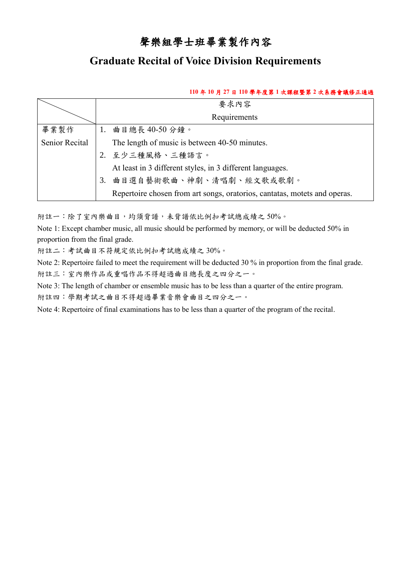### 聲樂組學士班畢業製作內容

### **Graduate Recital of Voice Division Requirements**

#### **110** 年 **10** 月 **27** 日 **110** 學年度第 **1** 次課程暨第 **2** 次系務會議修正通過

|                       | 要求內容<br>Requirements                                                      |  |  |  |  |
|-----------------------|---------------------------------------------------------------------------|--|--|--|--|
|                       |                                                                           |  |  |  |  |
| 畢業製作                  | 1. 曲目總長 40-50分鐘。                                                          |  |  |  |  |
| <b>Senior Recital</b> | The length of music is between 40-50 minutes.                             |  |  |  |  |
|                       | 2. 至少三種風格、三種語言。                                                           |  |  |  |  |
|                       | At least in 3 different styles, in 3 different languages.                 |  |  |  |  |
|                       | 曲目選自藝術歌曲、神劇、清唱劇、經文歌或歌劇。<br>3.                                             |  |  |  |  |
|                       | Repertoire chosen from art songs, oratorios, cantatas, motets and operas. |  |  |  |  |

附註一:除了室內樂曲目,均須背譜,未背譜依比例扣考試總成績之 50%。

Note 1: Except chamber music, all music should be performed by memory, or will be deducted 50% in proportion from the final grade.

附註二:考試曲目不符規定依比例扣考試總成績之 30%。

Note 2: Repertoire failed to meet the requirement will be deducted 30 % in proportion from the final grade. 附註三:室內樂作品或重唱作品不得超過曲目總長度之四分之一。

Note 3: The length of chamber or ensemble music has to be less than a quarter of the entire program. 附註四:學期考試之曲目不得超過畢業音樂會曲目之四分之一。

Note 4: Repertoire of final examinations has to be less than a quarter of the program of the recital.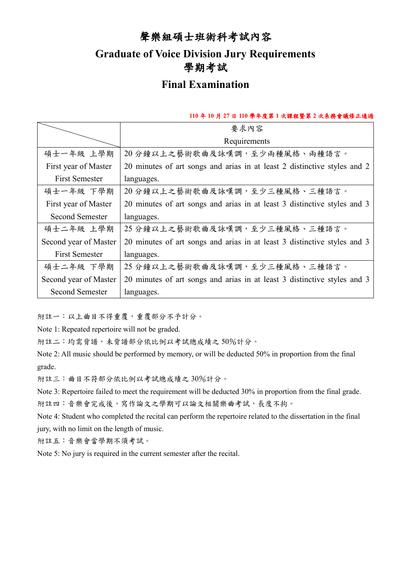### 聲樂組碩士班術科考試內容

## **Graduate of Voice Division Jury Requirements** 學期考試

## **Final Examination**

#### **110** 年 **10** 月 **27** 日 **110** 學年度第 **1** 次課程暨第 **2** 次系務會議修正通過

|                        | 要求內容                                                                     |  |  |
|------------------------|--------------------------------------------------------------------------|--|--|
|                        | Requirements                                                             |  |  |
| 碩士一年級 上學期              | 20分鐘以上之藝術歌曲及詠嘆調,至少兩種風格、兩種語言。                                             |  |  |
| First year of Master   | 20 minutes of art songs and arias in at least 2 distinctive styles and 2 |  |  |
| <b>First Semester</b>  | languages.                                                               |  |  |
| 碩士一年級 下學期              | 20分鐘以上之藝術歌曲及詠嘆調,至少三種風格、三種語言。                                             |  |  |
| First year of Master   | 20 minutes of art songs and arias in at least 3 distinctive styles and 3 |  |  |
| <b>Second Semester</b> | languages.                                                               |  |  |
| 碩士二年級 上學期              | 25分鐘以上之藝術歌曲及詠嘆調,至少三種風格、三種語言。                                             |  |  |
| Second year of Master  | 20 minutes of art songs and arias in at least 3 distinctive styles and 3 |  |  |
| <b>First Semester</b>  | languages.                                                               |  |  |
| 碩士二年級 下學期              | 25分鐘以上之藝術歌曲及詠嘆調,至少三種風格、三種語言。                                             |  |  |
| Second year of Master  | 20 minutes of art songs and arias in at least 3 distinctive styles and 3 |  |  |
| <b>Second Semester</b> | languages.                                                               |  |  |

附註一:以上曲目不得重覆,重覆部分不予計分。

Note 1: Repeated repertoire will not be graded.

附註二:均需背譜,未背譜部分依比例以考試總成績之 50%計分。

Note 2: All music should be performed by memory, or will be deducted 50% in proportion from the final grade.

附註三:曲目不符部分依比例以考試總成績之 30%計分。

Note 3: Repertoire failed to meet the requirement will be deducted 30% in proportion from the final grade. 附註四:音樂會完成後,寫作論文之學期可以論文相關樂曲考試,長度不拘。

Note 4: Student who completed the recital can perform the repertoire related to the dissertation in the final jury, with no limit on the length of music.

附註五:音樂會當學期不須考試。

Note 5: No jury is required in the current semester after the recital.